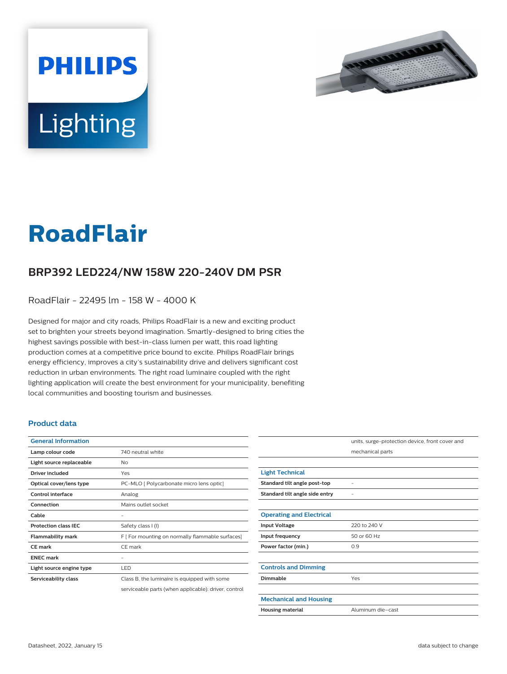



# **RoadFlair**

## **BRP392 LED224/NW 158W 220-240V DM PSR**

RoadFlair - 22495 lm - 158 W - 4000 K

Designed for major and city roads, Philips RoadFlair is a new and exciting product set to brighten your streets beyond imagination. Smartly-designed to bring cities the highest savings possible with best-in-class lumen per watt, this road lighting production comes at a competitive price bound to excite. Philips RoadFlair brings energy efficiency, improves a city's sustainability drive and delivers significant cost reduction in urban environments. The right road luminaire coupled with the right lighting application will create the best environment for your municipality, benefiting local communities and boosting tourism and businesses.

#### **Product data**

| <b>General Information</b>  |                                                      |
|-----------------------------|------------------------------------------------------|
| Lamp colour code            | 740 neutral white                                    |
| Light source replaceable    | No                                                   |
| Driver included             | Yes                                                  |
| Optical cover/lens type     | PC-MLO [ Polycarbonate micro lens optic]             |
| <b>Control interface</b>    | Analog                                               |
| Connection                  | Mains outlet socket                                  |
| Cable                       |                                                      |
| <b>Protection class IEC</b> | Safety class I (I)                                   |
| <b>Flammability mark</b>    | F [ For mounting on normally flammable surfaces]     |
| <b>CE</b> mark              | CE mark                                              |
| <b>FNFC</b> mark            |                                                      |
| Light source engine type    | LED                                                  |
| Serviceability class        | Class B, the luminaire is equipped with some         |
|                             | serviceable parts (when applicable): driver, control |

|                                 | units, surge-protection device, front cover and |
|---------------------------------|-------------------------------------------------|
|                                 | mechanical parts                                |
|                                 |                                                 |
| <b>Light Technical</b>          |                                                 |
| Standard tilt angle post-top    |                                                 |
| Standard tilt angle side entry  |                                                 |
|                                 |                                                 |
| <b>Operating and Electrical</b> |                                                 |
| <b>Input Voltage</b>            | 220 to 240 V                                    |
| Input frequency                 | 50 or 60 Hz                                     |
| Power factor (min.)             | 0.9                                             |
|                                 |                                                 |
| <b>Controls and Dimming</b>     |                                                 |
| Dimmable                        | Yes                                             |
|                                 |                                                 |
| <b>Mechanical and Housing</b>   |                                                 |
| <b>Housing material</b>         | Aluminum die-cast                               |
|                                 |                                                 |